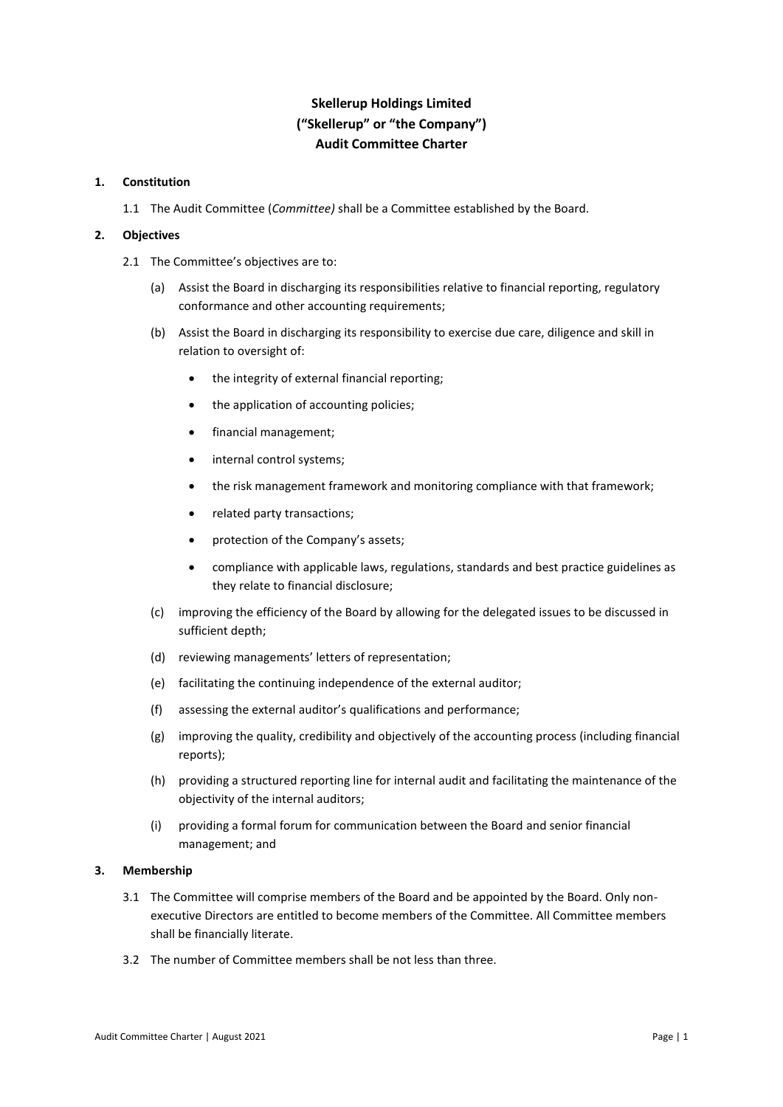# **Skellerup Holdings Limited ("Skellerup" or "the Company") Audit Committee Charter**

### **1. Constitution**

1.1 The Audit Committee (*Committee)* shall be a Committee established by the Board.

### **2. Objectives**

- 2.1 The Committee's objectives are to:
	- (a) Assist the Board in discharging its responsibilities relative to financial reporting, regulatory conformance and other accounting requirements;
	- (b) Assist the Board in discharging its responsibility to exercise due care, diligence and skill in relation to oversight of:
		- the integrity of external financial reporting;
		- the application of accounting policies;
		- financial management;
		- internal control systems;
		- the risk management framework and monitoring compliance with that framework;
		- related party transactions;
		- protection of the Company's assets;
		- compliance with applicable laws, regulations, standards and best practice guidelines as they relate to financial disclosure;
	- (c) improving the efficiency of the Board by allowing for the delegated issues to be discussed in sufficient depth;
	- (d) reviewing managements' letters of representation;
	- (e) facilitating the continuing independence of the external auditor;
	- (f) assessing the external auditor's qualifications and performance;
	- (g) improving the quality, credibility and objectively of the accounting process (including financial reports);
	- (h) providing a structured reporting line for internal audit and facilitating the maintenance of the objectivity of the internal auditors;
	- (i) providing a formal forum for communication between the Board and senior financial management; and

## **3. Membership**

- 3.1 The Committee will comprise members of the Board and be appointed by the Board. Only nonexecutive Directors are entitled to become members of the Committee. All Committee members shall be financially literate.
- 3.2 The number of Committee members shall be not less than three.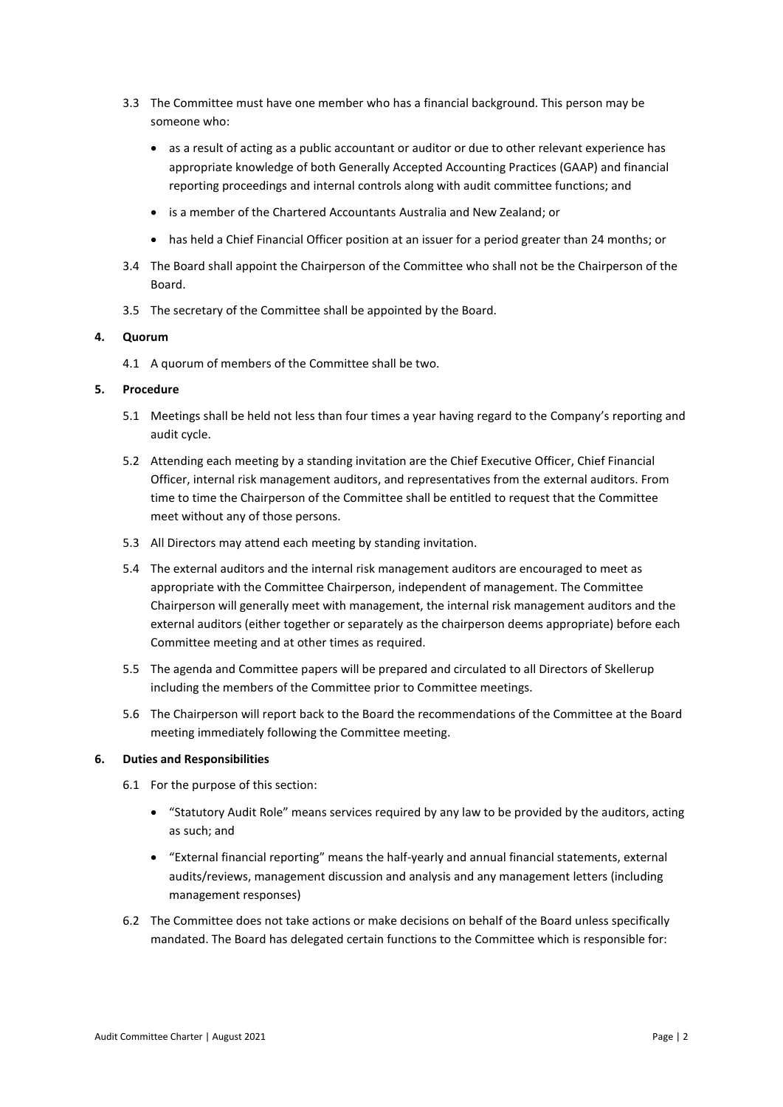- 3.3 The Committee must have one member who has a financial background. This person may be someone who:
	- as a result of acting as a public accountant or auditor or due to other relevant experience has appropriate knowledge of both Generally Accepted Accounting Practices (GAAP) and financial reporting proceedings and internal controls along with audit committee functions; and
	- is a member of the Chartered Accountants Australia and New Zealand; or
	- has held a Chief Financial Officer position at an issuer for a period greater than 24 months; or
- 3.4 The Board shall appoint the Chairperson of the Committee who shall not be the Chairperson of the Board.
- 3.5 The secretary of the Committee shall be appointed by the Board.

## **4. Quorum**

4.1 A quorum of members of the Committee shall be two.

### **5. Procedure**

- 5.1 Meetings shall be held not less than four times a year having regard to the Company's reporting and audit cycle.
- 5.2 Attending each meeting by a standing invitation are the Chief Executive Officer, Chief Financial Officer, internal risk management auditors, and representatives from the external auditors. From time to time the Chairperson of the Committee shall be entitled to request that the Committee meet without any of those persons.
- 5.3 All Directors may attend each meeting by standing invitation.
- 5.4 The external auditors and the internal risk management auditors are encouraged to meet as appropriate with the Committee Chairperson, independent of management. The Committee Chairperson will generally meet with management, the internal risk management auditors and the external auditors (either together or separately as the chairperson deems appropriate) before each Committee meeting and at other times as required.
- 5.5 The agenda and Committee papers will be prepared and circulated to all Directors of Skellerup including the members of the Committee prior to Committee meetings.
- 5.6 The Chairperson will report back to the Board the recommendations of the Committee at the Board meeting immediately following the Committee meeting.

## **6. Duties and Responsibilities**

- 6.1 For the purpose of this section:
	- "Statutory Audit Role" means services required by any law to be provided by the auditors, acting as such; and
	- "External financial reporting" means the half-yearly and annual financial statements, external audits/reviews, management discussion and analysis and any management letters (including management responses)
- 6.2 The Committee does not take actions or make decisions on behalf of the Board unless specifically mandated. The Board has delegated certain functions to the Committee which is responsible for: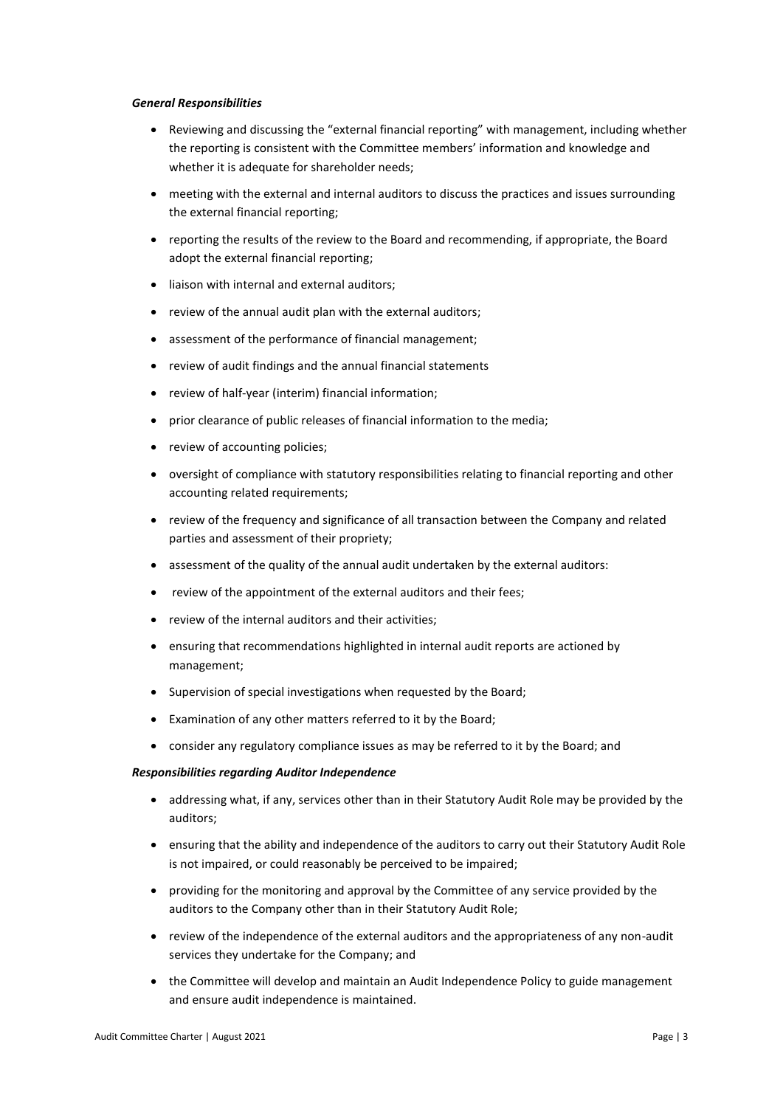### *General Responsibilities*

- Reviewing and discussing the "external financial reporting" with management, including whether the reporting is consistent with the Committee members' information and knowledge and whether it is adequate for shareholder needs;
- meeting with the external and internal auditors to discuss the practices and issues surrounding the external financial reporting;
- reporting the results of the review to the Board and recommending, if appropriate, the Board adopt the external financial reporting;
- liaison with internal and external auditors;
- review of the annual audit plan with the external auditors;
- assessment of the performance of financial management;
- review of audit findings and the annual financial statements
- review of half-year (interim) financial information;
- prior clearance of public releases of financial information to the media;
- review of accounting policies;
- oversight of compliance with statutory responsibilities relating to financial reporting and other accounting related requirements;
- review of the frequency and significance of all transaction between the Company and related parties and assessment of their propriety;
- assessment of the quality of the annual audit undertaken by the external auditors:
- review of the appointment of the external auditors and their fees;
- review of the internal auditors and their activities;
- ensuring that recommendations highlighted in internal audit reports are actioned by management;
- Supervision of special investigations when requested by the Board;
- Examination of any other matters referred to it by the Board;
- consider any regulatory compliance issues as may be referred to it by the Board; and

## *Responsibilities regarding Auditor Independence*

- addressing what, if any, services other than in their Statutory Audit Role may be provided by the auditors;
- ensuring that the ability and independence of the auditors to carry out their Statutory Audit Role is not impaired, or could reasonably be perceived to be impaired;
- providing for the monitoring and approval by the Committee of any service provided by the auditors to the Company other than in their Statutory Audit Role;
- review of the independence of the external auditors and the appropriateness of any non-audit services they undertake for the Company; and
- the Committee will develop and maintain an Audit Independence Policy to guide management and ensure audit independence is maintained.